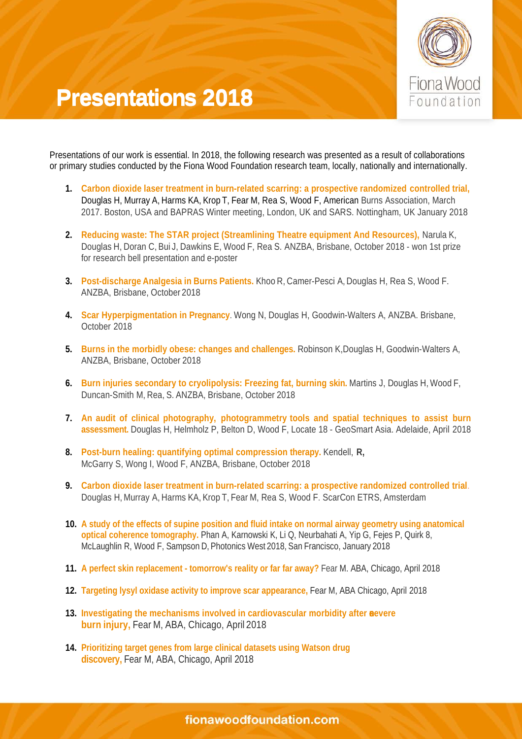

## **Presentations 2018 Presentations 2018**

Presentations of our work is essential. In 2018, the following research was presented as a result of collaborations or primary studies conducted by the Fiona Wood Foundation research team, locally, nationally and internationally.

- **1. Carbon dioxide laser treatment in burn-related scarring: a prospective randomized controlled trial,** Douglas H, Murray A, Harms KA, Krop T, Fear M, Rea S, Wood F, American Burns Association, March 2017. Boston, USA and BAPRAS Winter meeting, London, UK and SARS. Nottingham, UK January 2018
- **2. Reducing waste: The STAR project (Streamlining Theatre equipment And Resources),** Narula K, Douglas H, Doran C, Bui J, Dawkins E, Wood F, Rea S. ANZBA, Brisbane, October 2018 - won 1st prize for research bell presentation and e-poster
- **3. Post-discharge Analgesia in Burns Patients.** Khoo R, Camer-Pesci A,Douglas H, Rea S, Wood F. ANZBA, Brisbane, October 2018
- **4. Scar Hyperpigmentation in Pregnancy**. Wong N, Douglas H, Goodwin-Walters A, ANZBA. Brisbane, October 2018
- **5. Burns in the morbidly obese: changes and challenges.** Robinson K,Douglas H, Goodwin-Walters A, ANZBA, Brisbane, October 2018
- **6. Burn injuries secondary to cryolipolysis: Freezing fat, burning skin.** Martins J, Douglas H, Wood F, Duncan-Smith M, Rea, S. ANZBA, Brisbane, October 2018
- **7. An audit of clinical photography, photogrammetry tools and spatial techniques to assist burn assessment.** Douglas H, Helmholz P, Belton D, Wood F, Locate 18 - GeoSmart Asia. Adelaide, April 2018
- **8. Post-burn healing: quantifying optimal compression therapy.** Kendell, **R,** McGarry S, Wong I, Wood F, ANZBA, Brisbane, October 2018
- **9. Carbon dioxide laser treatment in burn-related scarring: a prospective randomized controlled trial**. Douglas H,Murray A, Harms KA, Krop T, Fear M, Rea S, Wood F. ScarCon ETRS, Amsterdam
- **10. A study of the effects of supine position and fluid intake on normal airway geometry using anatomical optical coherence tomography.** Phan A, Karnowski K, Li Q, Neurbahati A, Yip G, Fejes P, Quirk 8, McLaughlin R, Wood F, Sampson D, Photonics West 2018, San Francisco, January 2018
- **11. A perfect skin replacement - tomorrow's reality or far far away?** Fear M. ABA, Chicago, April 2018
- **12. Targeting lysyl oxidase activity to improve scar appearance,** Fear M, ABA Chicago, April 2018
- **13.** Investigating the mechanisms involved in cardiovascular morbidity after nevere **burn injury,** Fear M, ABA, Chicago, April 2018
- **14. Prioritizing target genes from large clinical datasets using Watson drug discovery,** Fear M, ABA, Chicago, April 2018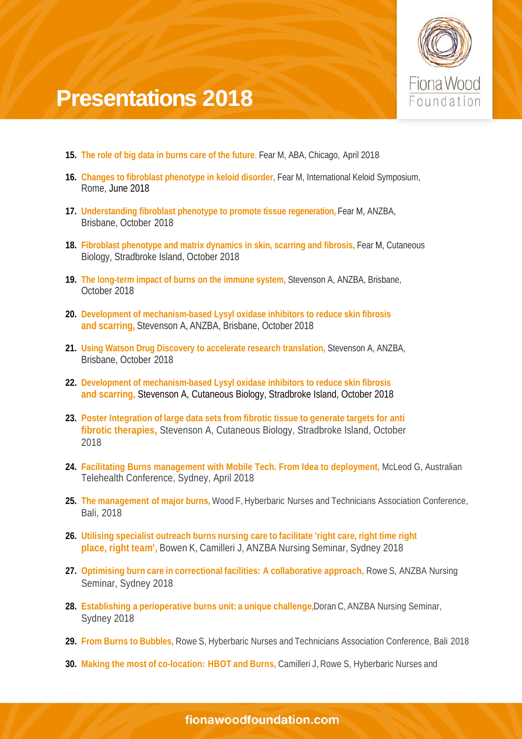

## **Presentations 2018**

- **15. The role of big data in burns care of the future**, Fear M, ABA, Chicago, April 2018
- **16. Changes to fibroblast phenotype in keloid disorder,** Fear M, International Keloid Symposium, Rome, June 2018
- **17. Understanding fibroblast phenotype to promote tissue regeneration,** Fear M, ANZBA, Brisbane, October 2018
- **18. Fibroblast phenotype and matrix dynamics in skin, scarring and fibrosis,** Fear M, Cutaneous Biology, Stradbroke Island, October 2018
- **19. The long-term impact of burns on the immune system,** Stevenson A, ANZBA, Brisbane, October 2018
- **20. Development of mechanism-based Lysyl oxidase inhibitors to reduce skin fibrosis and scarring,** Stevenson A, ANZBA, Brisbane, October 2018
- **21. Using Watson Drug Discovery to accelerate research translation,** Stevenson A, ANZBA, Brisbane, October 2018
- **22. Development of mechanism-based Lysyl oxidase inhibitors to reduce skin fibrosis and scarring,** Stevenson A, Cutaneous Biology, Stradbroke Island, October 2018
- **23. Poster Integration of large data sets from fibrotic tissue to generate targets for anti fibrotic therapies,** Stevenson A, Cutaneous Biology, Stradbroke Island, October 2018
- **24. Facilitating Burns management with Mobile Tech. From Idea to deployment,** McLeod G, Australian Telehealth Conference, Sydney, April 2018
- **25. The management of major burns,** Wood F, Hyberbaric Nurses and Technicians Association Conference, Bali, 2018
- **26. Utilising specialist outreach burns nursing care to facilitate 'right care, right time right place, right team',** Bowen K, Camilleri J, ANZBA Nursing Seminar, Sydney 2018
- **27. Optimising burn care in correctional facilities: A collaborative approach,** Rowe S, ANZBA Nursing Seminar, Sydney 2018
- **28. Establishing a perioperative burns unit: a unique challenge,**Doran C, ANZBA Nursing Seminar, Sydney 2018
- **29. From Burns to Bubbles,** Rowe S, Hyberbaric Nurses and Technicians Association Conference, Bali 2018
- **30. Making the most of co-location: HBOT and Burns,** Camilleri J, Rowe S, Hyberbaric Nurses and

fionawoodfoundation.com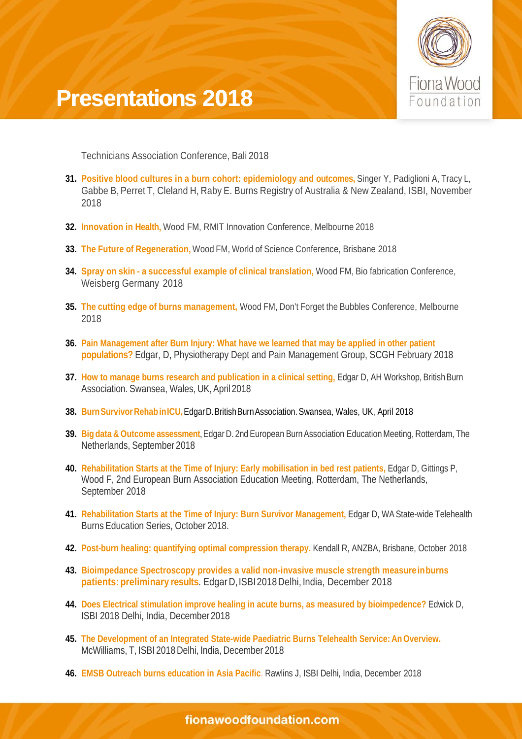

## **Presentations 2018 Presentations2018**

Technicians Association Conference, Bali 2018

- **31. Positive blood cultures in a burn cohort: epidemiology and outcomes,** Singer Y, Padiglioni A, Tracy L, Gabbe B, Perret T, Cleland H, Raby E. Burns Registry of Australia & New Zealand, ISBI, November 2018
- **32. Innovation in Health,** Wood FM, RMIT Innovation Conference, Melbourne 2018
- **33. The Future of Regeneration,** Wood FM, World of Science Conference, Brisbane 2018
- **34. Spray on skin - a successful example of clinical translation,** Wood FM, Bio fabrication Conference, Weisberg Germany 2018
- **35. The cutting edge of burns management,** Wood FM, Don't Forget the Bubbles Conference, Melbourne 2018
- **36. Pain Management after Burn Injury: What have we learned that may be applied in other patient populations?** Edgar, D, Physiotherapy Dept and Pain Management Group, SCGH February 2018
- **37.** How to manage burns research and publication in a clinical setting, Edgar D, AH Workshop, British Burn Association. Swansea, Wales, UK,April2018
- **38. BurnSurvivorRehabinICU,**EdgarD.BritishBurnAssociation.Swansea, Wales, UK, April 2018
- **39. Big data & Outcome assessment, Edgar D. 2nd European Burn Association Education Meeting, Rotterdam, The** Netherlands, September 2018
- **40. Rehabilitation Starts at the Time of Injury: Early mobilisation in bed rest patients,** Edgar D, Gittings P, Wood F, 2nd European Burn Association Education Meeting, Rotterdam, The Netherlands, September 2018
- **41. Rehabilitation Starts at the Time of Injury: Burn Survivor Management,** Edgar D, WA State-wide Telehealth Burns Education Series, October 2018.
- **42. Post-burn healing: quantifying optimal compression therapy.** Kendall R, ANZBA, Brisbane, October 2018
- **43. Bioimpedance Spectroscopy provides a valid non-invasive muscle strength measureinburns patients: preliminary results**. EdgarD,ISBI2018Delhi, India, December 2018
- **44. Does Electrical stimulation improve healing in acute burns, as measured by bioimpedence?** Edwick D, ISBI 2018 Delhi, India, December 2018
- **45. The Development of an Integrated State-wide Paediatric Burns Telehealth Service: AnOverview.** McWilliams, T, ISBI 2018 Delhi, India, December 2018
- **46. EMSB Outreach burns education in Asia Pacific**. Rawlins J, ISBI Delhi, India, December 2018

fionawoodfoundation.com